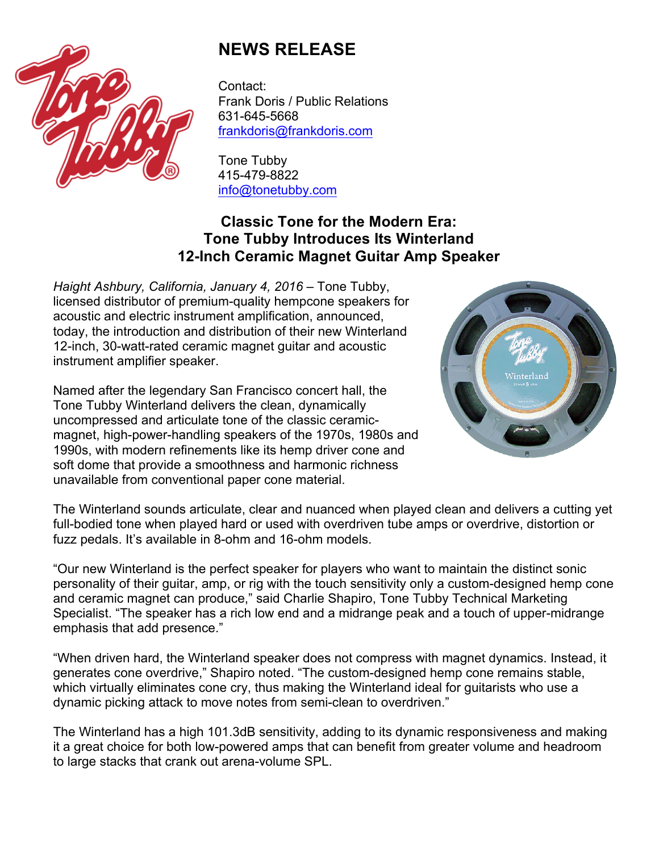

## **NEWS RELEASE**

Contact: Frank Doris / Public Relations 631-645-5668 frankdoris@frankdoris.com

Tone Tubby 415-479-8822 info@tonetubby.com

## **Classic Tone for the Modern Era: Tone Tubby Introduces Its Winterland 12-Inch Ceramic Magnet Guitar Amp Speaker**

*Haight Ashbury, California, January 4, 2016* – Tone Tubby, licensed distributor of premium-quality hempcone speakers for acoustic and electric instrument amplification, announced, today, the introduction and distribution of their new Winterland 12-inch, 30-watt-rated ceramic magnet guitar and acoustic instrument amplifier speaker.

Named after the legendary San Francisco concert hall, the Tone Tubby Winterland delivers the clean, dynamically uncompressed and articulate tone of the classic ceramicmagnet, high-power-handling speakers of the 1970s, 1980s and 1990s, with modern refinements like its hemp driver cone and soft dome that provide a smoothness and harmonic richness unavailable from conventional paper cone material.



The Winterland sounds articulate, clear and nuanced when played clean and delivers a cutting yet full-bodied tone when played hard or used with overdriven tube amps or overdrive, distortion or fuzz pedals. It's available in 8-ohm and 16-ohm models.

"Our new Winterland is the perfect speaker for players who want to maintain the distinct sonic personality of their guitar, amp, or rig with the touch sensitivity only a custom-designed hemp cone and ceramic magnet can produce," said Charlie Shapiro, Tone Tubby Technical Marketing Specialist. "The speaker has a rich low end and a midrange peak and a touch of upper-midrange emphasis that add presence."

"When driven hard, the Winterland speaker does not compress with magnet dynamics. Instead, it generates cone overdrive," Shapiro noted. "The custom-designed hemp cone remains stable, which virtually eliminates cone cry, thus making the Winterland ideal for guitarists who use a dynamic picking attack to move notes from semi-clean to overdriven."

The Winterland has a high 101.3dB sensitivity, adding to its dynamic responsiveness and making it a great choice for both low-powered amps that can benefit from greater volume and headroom to large stacks that crank out arena-volume SPL.